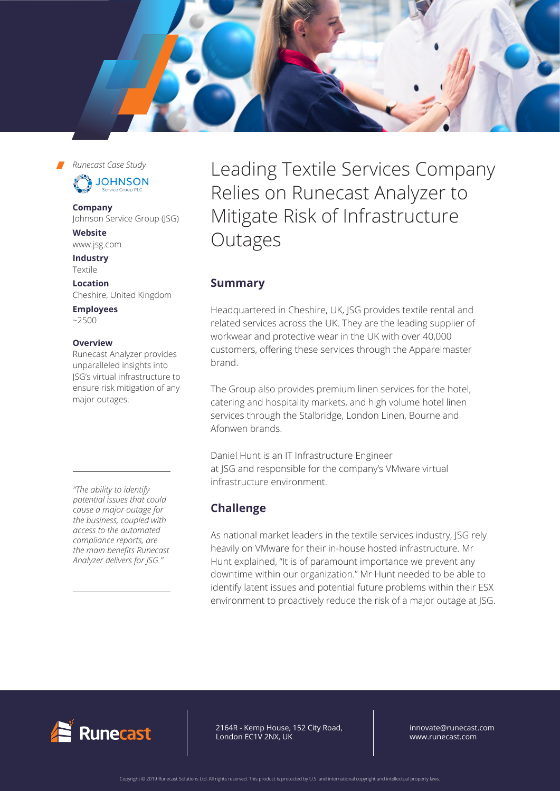

*Runecast Case Study*



### **Company**

Johnson Service Group (JSG)

**Website** [www.jsg.com](http://www.jsg.com)

**Industry** Textile

**Location** Cheshire, United Kingdom

**Employees**   $~2500$ 

## **Overview**

Runecast Analyzer provides unparalleled insights into JSG's virtual infrastructure to ensure risk mitigation of any major outages.

*"The ability to identify potential issues that could cause a major outage for the business, coupled with access to the automated compliance reports, are the main benefits Runecast Analyzer delivers for JSG."*

Leading Textile Services Company Relies on Runecast Analyzer to Mitigate Risk of Infrastructure Outages

## **Summary**

Headquartered in Cheshire, UK, JSG provides textile rental and related services across the UK. They are the leading supplier of workwear and protective wear in the UK with over 40,000 customers, offering these services through the Apparelmaster brand.

The Group also provides premium linen services for the hotel, catering and hospitality markets, and high volume hotel linen services through the Stalbridge, London Linen, Bourne and Afonwen brands.

Daniel Hunt is an IT Infrastructure Engineer at JSG and responsible for the company's VMware virtual infrastructure environment.

# **Challenge**

As national market leaders in the textile services industry, JSG rely heavily on VMware for their in-house hosted infrastructure. Mr Hunt explained, "It is of paramount importance we prevent any downtime within our organization." Mr Hunt needed to be able to identify latent issues and potential future problems within their ESX environment to proactively reduce the risk of a major outage at JSG.



64R - Kemp House, 152 City Road, ndon EC1V 2NX, UK 2164R - Kemp House, 152 City Road, London EC1V 2NX, UK

innovate@runecast.com www.runecast.com